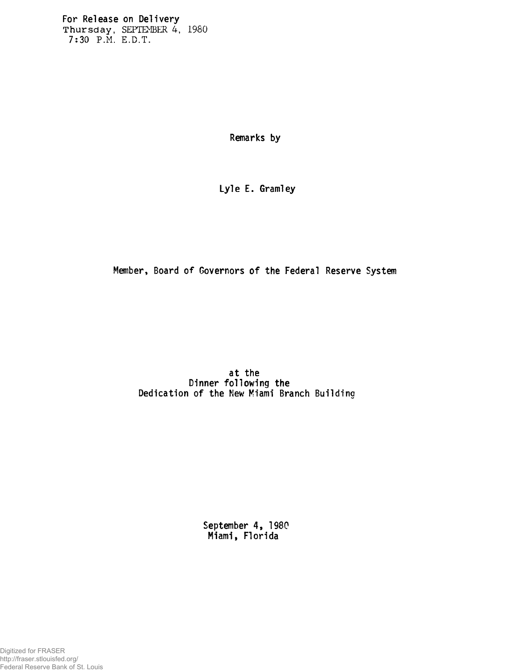**For Release on Delivery Thursday, SEPTEMBER 4, 1980 7:30 P.M. E.D.T.**

**Remarks by**

**Lyle E. Gramiey**

**Member, Board of Governors of the Federal Reserve System**

**at the Dinner following the Dedication of the New Miami Branch Buildina**

> **September 4, 1980 Miami, Florida**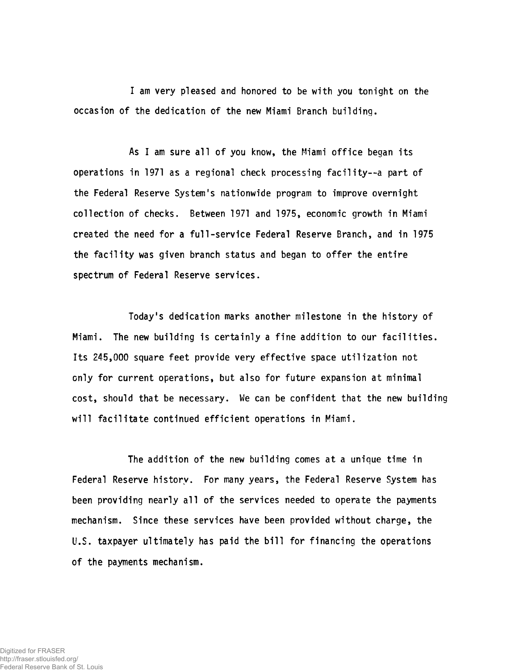**I am very pleased and honored to be with you tonight on the occasion of the dedication of the new Miami Branch building.**

**As I am sure all of you know, the Miami office began its operations in 1971 as a regional check processing facility--a part of the Federal Reserve System's nationwide program to improve overnight collection of checks. Between 1971 and 1975, economic growth in Miami created the need for a full-service Federal Reserve Branch, and in 1975 the facility was given branch status and began to offer the entire spectrum of Federal Reserve services.**

**Today's dedication marks another milestone in the history of Miami. The new building is certainly a fine addition to our facilities. Its 245,000 square feet provide very effective space utilization not only for current operations, but also for future expansion at minimal** cost, should that be necessary. We can be confident that the new building **will facilitate continued efficient operations in Miami.**

**The addition of the new building comes at a unique time in Federal Reserve history. For many years, the Federal Reserve System has been providing nearly all of the services needed to operate the payments mechanism. Since these services have been provided without charge, the U.S. taxpayer ultimately has paid the bill for financing the operations of the payments mechanism.**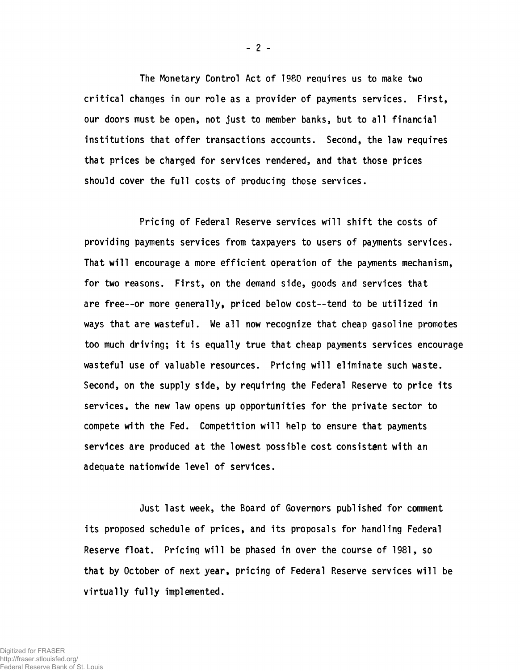**The Monetary Control Act of 1980 requires us to make two critical changes in our role as a provider of payments services. First, our doors must be open, not just to member banks, but to all financial institutions that offer transactions accounts. Second, the law requires that prices be charged for services rendered, and that those prices should cover the full costs of producing those services.**

**Pricing of Federal Reserve services will shift the costs of providing payments services from taxpayers to users of payments services. That will encourage a more efficient operation of the payments mechanism, for two reasons. First, on the demand side, goods and services that are free--or more generally, priced below cost— 'tend to be utilized in ways that are wasteful. We all now recognize that cheap gasoline promotes too much driving; it is equally true that cheap payments services encourage wasteful use of valuable resources. Pricing will eliminate such waste. Second, on the supply side, by requiring the Federal Reserve to price its services, the new law opens up opportunities for the private sector to compete with the Fed. Competition will help to ensure that payments services are produced at the lowest possible cost consistent with an adequate nationwide level of services.**

**Just last week, the Board of Governors published for comment its proposed schedule of prices, and its proposals for handling Federal Reserve float. Pricing will be phased in over the course of 1981, so that by October of next year, pricing of Federal Reserve services will be virtually fully implemented.**

**- 2 -**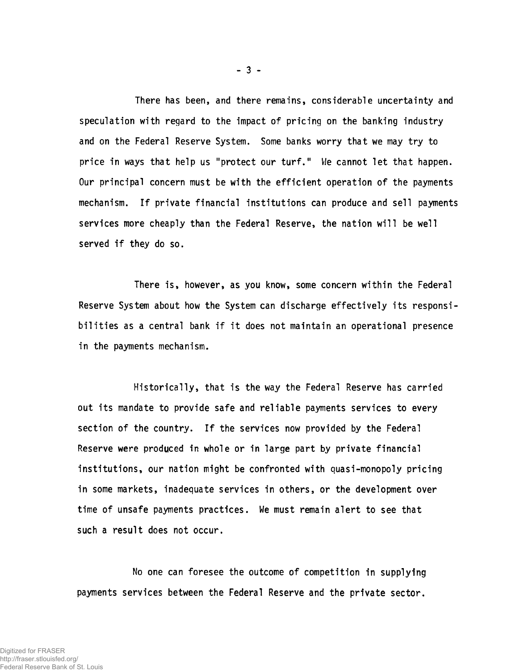**There has been, and there remains, considerable uncertainty and speculation with regard to the impact of pricing on the banking industry and on the Federal Reserve System. Some banks worry that we may try to price in ways that help us "protect our turf." We cannot let that happen. Our principal concern must be with the efficient operation of the payments mechanism. If private financial institutions can produce and sell payments services more cheaply than the Federal Reserve, the nation will be well served if they do so.**

**There is, however, as you know, some concern within the Federal Reserve System about how the System can discharge effectively its responsibilities as a central bank if it does not maintain an operational presence in the payments mechanism.**

**Historically, that is the way the Federal Reserve has carried out its mandate to provide safe and reliable payments services to every section of the country. If the services now provided by the Federal Reserve were produced in whole or in large part by private financial institutions, our nation might be confronted with quasi-monopoly pricing in some markets, inadequate services in others, or the development over time of unsafe payments practices. We must remain alert to see that such a result does not occur.**

**No one can foresee the outcome of competition in supplying payments services between the Federal Reserve and the private sector.**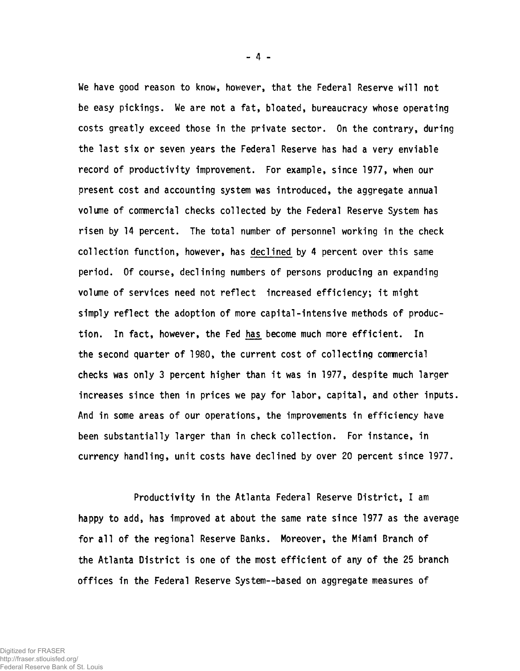**We have good reason to know, however, that the Federal Reserve will not be easy pickings. We are not a fat, bloated, bureaucracy whose operating costs greatly exceed those in the private sector. On the contrary, during the last six or seven years the Federal Reserve has had a very enviable record of productivity improvement. For example, since 1977, when our present cost and accounting system was introduced, the aggregate annual volume of commercial checks collected by the Federal Reserve System has risen by 14 percent. The total number of personnel working in the check collection function, however, has dec!ined by 4 percent over this same period. Of course, declining numbers of persons producing an expanding volume of services need not reflect increased efficiency; it might simply reflect the adoption of more capital-intensive methods of production. In fact, however, the Fed has become much more efficient. In the second quarter of 1980, the current cost of collecting commercial checks was only 3 percent higher than it was in 1977, despite much larger increases since then in prices we pay for labor, capital, and other inputs. And in some areas of our operations, the improvements in efficiency have been substantially larger than in check collection. For instance, in currency handling, unit costs have declined by over 20 percent since 1977.**

**Productivity in the Atlanta Federal Reserve District, I am happy to add, has improved at about the same rate since 1977 as the average for all of the regional Reserve Banks. Moreover, the Miami Branch of the Atlanta District is one of the most efficient of any of the 25 branch offices in the Federal Reserve System— based on aggregate measures of**

- 4 -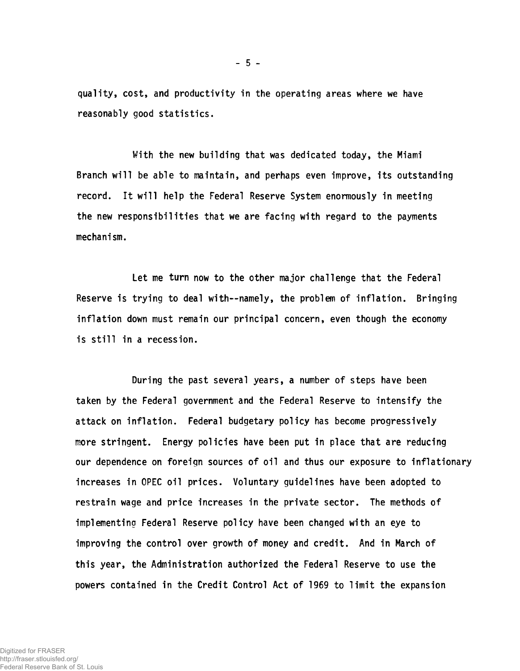**quality, cost, and productivity in the operating areas where we have reasonably good statistics.**

**With the new building that was dedicated today, the Miami Branch will be able to maintain, and perhaps even improve, its outstanding record. It will help the Federal Reserve System enormously in meeting the new responsibilities that we are facing with regard to the payments mechanism.**

**Let me turn now to the other major challenge that the Federal Reserve is trying to deal with— namely, the problem of inflation. Bringing inflation down must remain our principal concern, even though the economy is still in a recession.**

**During the past several years, a number of steps have been taken by the Federal government and the Federal Reserve to intensify the attack on inflation. Federal budgetary policy has become progressively more stringent. Energy policies have been put in place that are reducing our dependence on foreign sources of oil and thus our exposure to inflationary increases in OPEC oil prices. Voluntary guidelines have been adopted to restrain wage and price increases in the private sector. The methods of implementing Federal Reserve policy have been changed with an eye to improving the control over growth of money and credit. And in March of this year, the Administration authorized the Federal Reserve to use the powers contained in the Credit Control Act of 1969 to limit the expansion**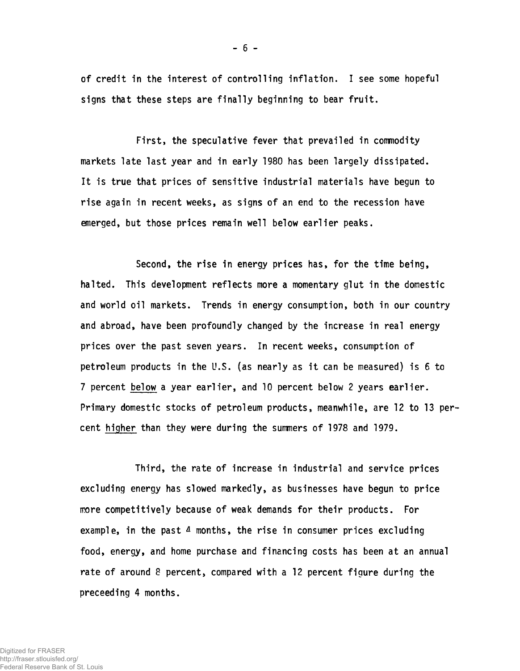**of credit in the interest of controlling inflation. I see some hopeful signs that these steps are finally beginning to bear fruit.**

**First, the speculative fever that prevailed in commodity markets late last year and in early 1980 has been largely dissipated. It is true that prices of sensitive industrial materials have begun to rise again in recent weeks, as signs of an end to the recession have emerged, but those prices remain well below earlier peaks.**

**Second, the rise in energy prices has, for the time being, halted. This development reflects more a momentary glut in the domestic and world oil markets. Trends in energy consumption, both in our country and abroad, have been profoundly changed by the increase in real energy prices over the past seven years. In recent weeks, consumption of petroleum products in the U.S. (as nearly as it can be measured) is 6 to 7 percent below a year earlier, and 10 percent below 2 years earlier. Primary domestic stocks of petroleum products, meanwhile, are 12 to 13 percent higher than they were during the summers of 1978 and 1979.**

**Third, the rate of increase in industrial and service prices excluding energy has slowed markedly, as businesses have begun to price more competitively because of weak demands for their products. For** example, in the past 4 months, the rise in consumer prices excluding **food, energy, and home purchase and financing costs has been at an annual rate of around 8 percent, compared with a 12 percent figure during the preceeding 4 months.**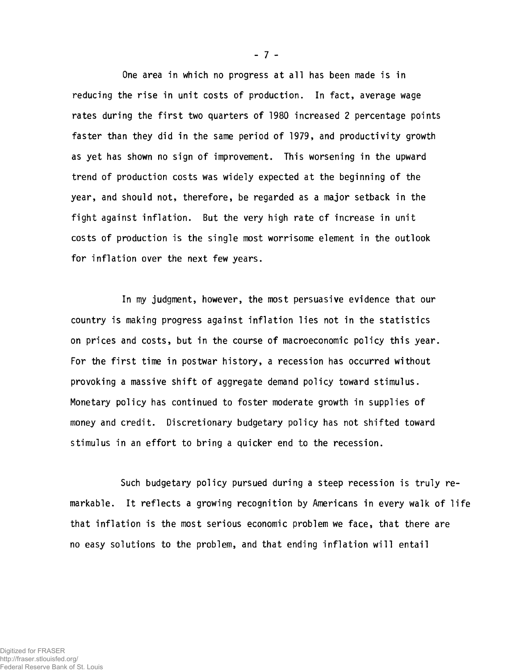**One area in which no progress at all has been made is in reducing the rise in unit costs of production. In fact, average wage rates during the first two quarters of 1980 increased 2 percentage points faster than they did in the same period of 1979, and productivity growth as yet has shown no sign of improvement. This worsening in the upward trend of production costs was widely expected at the beginning of the year, and should not, therefore, be regarded as a major setback in the fight against inflation. But the very high rate of increase in unit costs of production is the single most worrisome element in the outlook for inflation over the next few years.**

**In my judgment, however, the most persuasive evidence that our country is making progress against inflation lies not in the statistics on prices and costs, but in the course of macroeconomic policy this year. For the first time in postwar history, a recession has occurred without provoking a massive shift of aggregate demand policy toward stimulus. Monetary policy has continued to foster moderate growth in supplies of money and credit. Discretionary budgetary policy has not shifted toward stimulus in an effort to bring a quicker end to the recession.**

**Such budgetary policy pursued during a steep recession is truly remarkable. It reflects a growing recognition by Americans in every walk of life that inflation is the most serious economic problem we face, that there are no easy solutions to the problem, and that ending inflation will entail**

**- 7 -**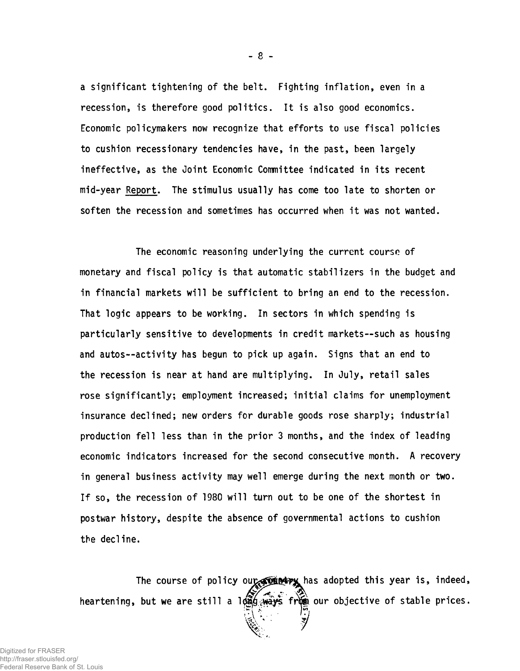**a significant tightening of the belt. Fighting inflation, even in a recession, is therefore good politics. It is also good economics. Economic policymakers now recognize that efforts to use fiscal policies to cushion recessionary tendencies have, in the past, been largely ineffective, as the Joint Economic Committee indicated in its recent mid-year Report. The stimulus usually has come too late to shorten or soften the recession and sometimes has occurred when it was not wanted.**

**The economic reasoning underlying the current course of monetary and fiscal policy is that automatic stabilizers in the budget and in financial markets will be sufficient to bring an end to the recession. That logic appears to be working. In sectors in which spending is particularly sensitive to developments in credit markets— such as housing and autos— activity has begun to pick up again. Signs that an end to the recession is near at hand are multiplying. In July, retail sales rose significantly; employment increased; initial claims for unemployment insurance declined; new orders for durable goods rose sharply; industrial production fell less than in the prior 3 months, and the index of leading economic indicators increased for the second consecutive month. A recovery in general business activity may well emerge during the next month or two. If so, the recession of 1980 will turn out to be one of the shortest in postwar history, despite the absence of governmental actions to cushion the decline.**

The course of policy our we has adopted this year is, indeed, heartening, but we are still a long ways from our objective of stable prices.

 $-8-$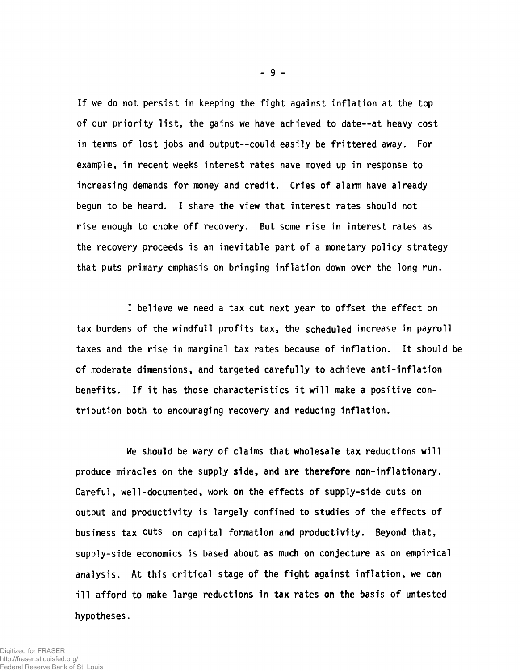**If we do not persist in keeping the fight against inflation at the top of our priority list, the gains we have achieved to date--at heavy cost in terms of lost jobs and output--could easily be frittered away. For example, in recent weeks interest rates have moved up in response to increasing demands for money and credit. Cries of alarm have already begun to be heard. I share the view that interest rates should not rise enough to choke off recovery. But some rise in interest rates as the recovery proceeds is an inevitable part of a monetary policy strategy that puts primary emphasis on bringing inflation down over the long run.**

**I believe we need a tax cut next year to offset the effect on tax burdens of the windfull profits tax, the scheduled increase in payroll taxes and the rise in marginal tax rates because of inflation. It should be of moderate dimensions, and targeted carefully to achieve anti-inflation benefits. If it has those characteristics it will make a positive contribution both to encouraging recovery and reducing inflation.**

**We should be wary of claims that wholesale tax reductions will produce miracles on the supply side, and are therefore non-inflationary. Careful, well-documented, work on the effects of supply-side cuts on output and productivity is largely confined to studies of the effects of business tax cuts on capital formation and productivity. Beyond that, supply-side economics is based about as much on conjecture as on empirical analysis. At this critical stage of the fight against inflation, we can ill afford to make large reductions in tax rates on the basis of untested hypotheses.**

**- 9 -**